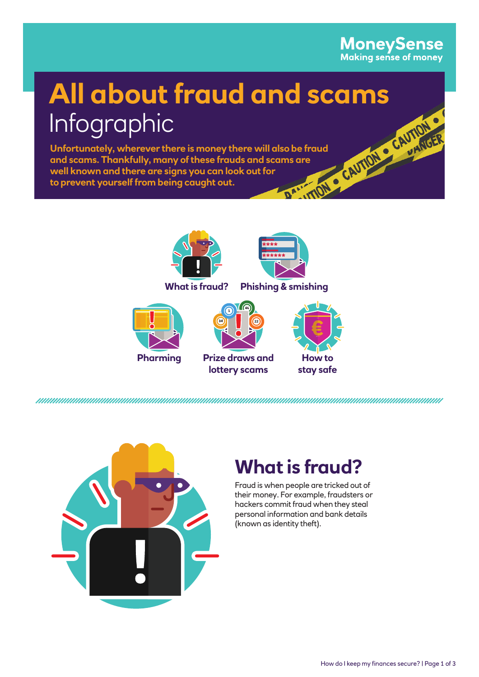## **MoneySense**<br>Making sense of money

# **All about fraud and scams**<br>Infographic<br>Unfortunately, wherever there is money there will also be fraud<br>and scams. Thankfully, many of these frauds and scams are<br>well known and there are signs you can look out for<br>to preve Infographic

**Unfortunately, wherever there is money there will also be fraud and scams. Thankfully, many of these frauds and scams are well known and there are signs you can look out for to prevent yourself from being caught out.**





**What is fraud? Phishing & smishing**







**lottery scams**





## **What is fraud?**

Fraud is when people are tricked out of their money. For example, fraudsters or hackers commit fraud when they steal personal information and bank details (known as identity theft).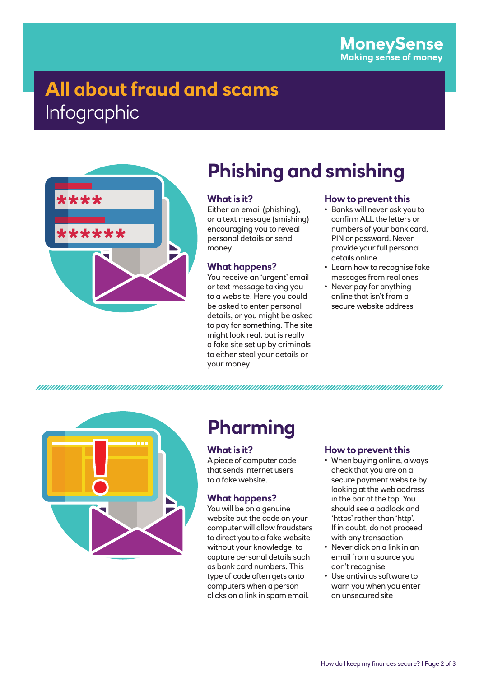## **All about fraud and scams**  Infographic



## **Phishing and smishing**

#### **What is it?**

Either an email (phishing), or a text message (smishing) encouraging you to reveal personal details or send money.

#### **What happens?**

You receive an 'urgent' email or text message taking you to a website. Here you could be asked to enter personal details, or you might be asked to pay for something. The site might look real, but is really a fake site set up by criminals to either steal your details or your money.

#### **How to prevent this**

- Banks will never ask you to confirm ALL the letters or numbers of your bank card, PIN or password. Never provide your full personal details online
- Learn how to recognise fake messages from real ones
- Never pay for anything online that isn't from a secure website address



## **Pharming**

#### **What is it?**

A piece of computer code that sends internet users to a fake website.

#### **What happens?**

You will be on a genuine website but the code on your computer will allow fraudsters to direct you to a fake website without your knowledge, to capture personal details such as bank card numbers. This type of code often gets onto computers when a person clicks on a link in spam email.

#### **How to prevent this**

- When buying online, always check that you are on a secure payment website by looking at the web address in the bar at the top. You should see a padlock and 'https' rather than 'http'. If in doubt, do not proceed with any transaction
- Never click on a link in an email from a source you don't recognise
- Use antivirus software to warn you when you enter an unsecured site